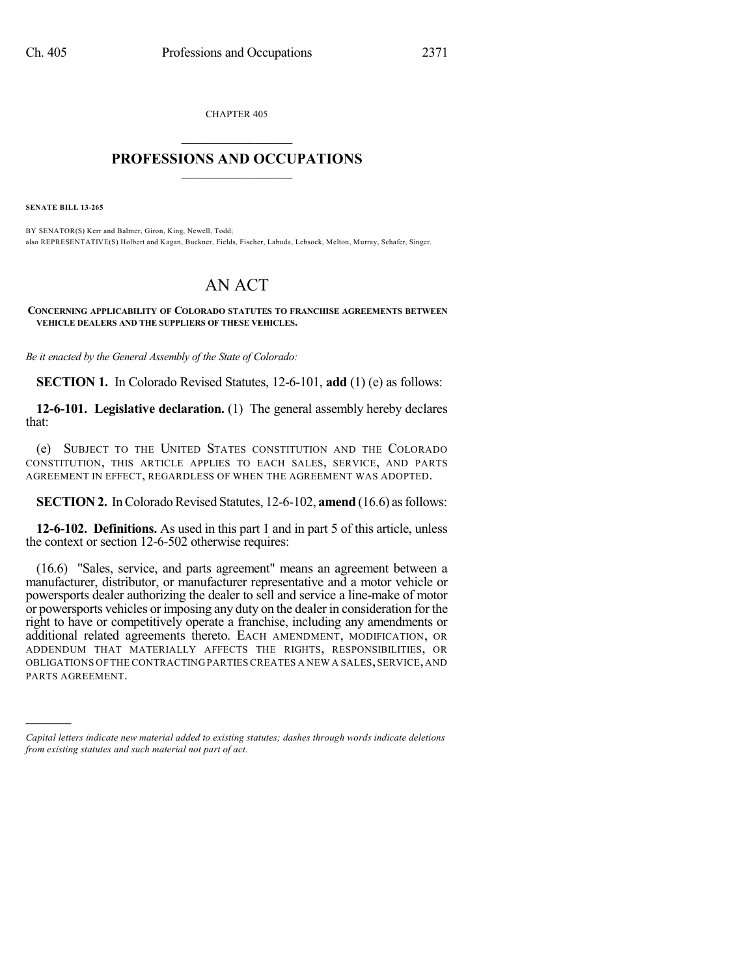CHAPTER 405  $\overline{\phantom{a}}$  . The set of the set of the set of the set of the set of the set of the set of the set of the set of the set of the set of the set of the set of the set of the set of the set of the set of the set of the set o

## **PROFESSIONS AND OCCUPATIONS**  $\frac{1}{2}$  ,  $\frac{1}{2}$  ,  $\frac{1}{2}$  ,  $\frac{1}{2}$  ,  $\frac{1}{2}$  ,  $\frac{1}{2}$

**SENATE BILL 13-265**

)))))

BY SENATOR(S) Kerr and Balmer, Giron, King, Newell, Todd; also REPRESENTATIVE(S) Holbert and Kagan, Buckner, Fields, Fischer, Labuda, Lebsock, Melton, Murray, Schafer, Singer.

## AN ACT

**CONCERNING APPLICABILITY OF COLORADO STATUTES TO FRANCHISE AGREEMENTS BETWEEN VEHICLE DEALERS AND THE SUPPLIERS OF THESE VEHICLES.**

*Be it enacted by the General Assembly of the State of Colorado:*

**SECTION 1.** In Colorado Revised Statutes, 12-6-101, **add** (1) (e) as follows:

**12-6-101. Legislative declaration.** (1) The general assembly hereby declares that:

(e) SUBJECT TO THE UNITED STATES CONSTITUTION AND THE COLORADO CONSTITUTION, THIS ARTICLE APPLIES TO EACH SALES, SERVICE, AND PARTS AGREEMENT IN EFFECT, REGARDLESS OF WHEN THE AGREEMENT WAS ADOPTED.

**SECTION 2.** In Colorado Revised Statutes, 12-6-102, **amend** (16.6) as follows:

**12-6-102. Definitions.** As used in this part 1 and in part 5 of this article, unless the context or section 12-6-502 otherwise requires:

(16.6) "Sales, service, and parts agreement" means an agreement between a manufacturer, distributor, or manufacturer representative and a motor vehicle or powersports dealer authorizing the dealer to sell and service a line-make of motor or powersports vehicles or imposing any duty on the dealer in consideration for the right to have or competitively operate a franchise, including any amendments or additional related agreements thereto. EACH AMENDMENT, MODIFICATION, OR ADDENDUM THAT MATERIALLY AFFECTS THE RIGHTS, RESPONSIBILITIES, OR OBLIGATIONS OF THE CONTRACTING PARTIES CREATES A NEW A SALES, SERVICE, AND PARTS AGREEMENT.

*Capital letters indicate new material added to existing statutes; dashes through words indicate deletions from existing statutes and such material not part of act.*